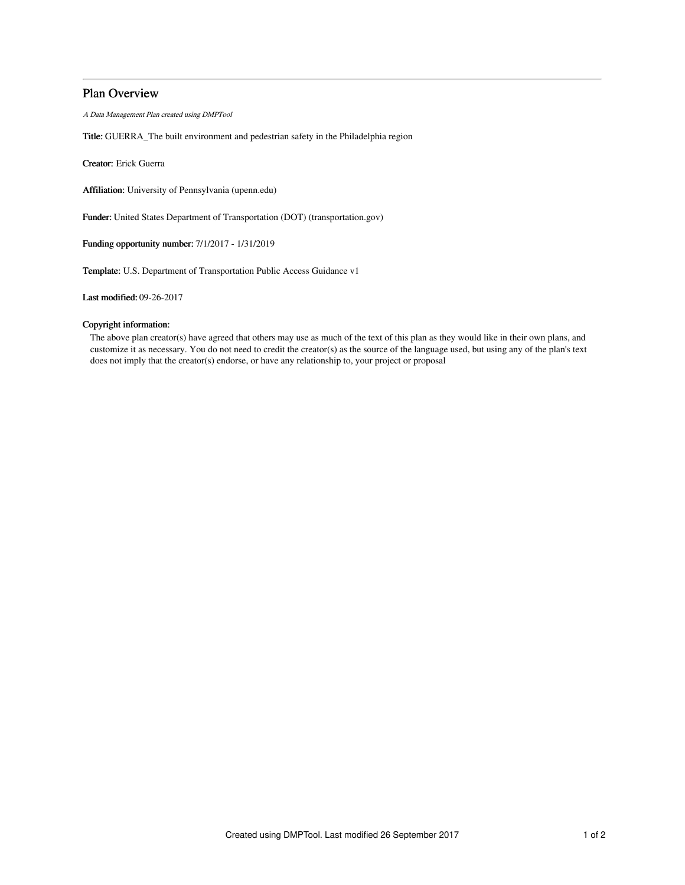## Plan Overview

A Data Management Plan created using DMPTool

Title: GUERRA\_The built environment and pedestrian safety in the Philadelphia region

Creator: Erick Guerra

Affiliation: University of Pennsylvania (upenn.edu)

Funder: United States Department of Transportation (DOT) (transportation.gov)

Funding opportunity number: 7/1/2017 - 1/31/2019

Template: U.S. Department of Transportation Public Access Guidance v1

Last modified: 09-26-2017

## Copyright information:

The above plan creator(s) have agreed that others may use as much of the text of this plan as they would like in their own plans, and customize it as necessary. You do not need to credit the creator(s) as the source of the language used, but using any of the plan's text does not imply that the creator(s) endorse, or have any relationship to, your project or proposal